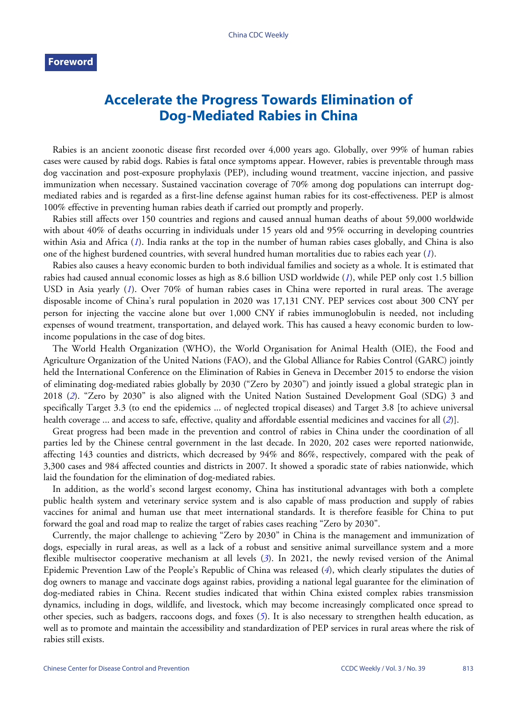## **Accelerate the Progress Towards Elimination of Dog-Mediated Rabies in China**

Rabies is an ancient zoonotic disease first recorded over 4,000 years ago. Globally, over 99% of human rabies cases were caused by rabid dogs. Rabies is fatal once symptoms appear. However, rabies is preventable through mass dog vaccination and post-exposure prophylaxis (PEP), including wound treatment, vaccine injection, and passive immunization when necessary. Sustained vaccination coverage of 70% among dog populations can interrupt dogmediated rabies and is regarded as a first-line defense against human rabies for its cost-effectiveness. PEP is almost 100% effective in preventing human rabies death if carried out promptly and properly.

Rabies still affects over 150 countries and regions and caused annual human deaths of about 59,000 worldwide with about 40% of deaths occurring in individuals under 15 years old and 95% occurring in developing countries within Asia and Africa (*[1](#page-1-0)*). India ranks at the top in the number of human rabies cases globally, and China is also one of the highest burdened countries, with several hundred human mortalities due to rabies each year (*[1](#page-1-0)*).

Rabies also causes a heavy economic burden to both individual families and society as a whole. It is estimated that rabies had caused annual economic losses as high as 8.6 billion USD worldwide (*[1](#page-1-0)*), while PEP only cost 1.5 billion USD in Asia yearly ([1](#page-1-0)). Over 70% of human rabies cases in China were reported in rural areas. The average disposable income of China's rural population in 2020 was 17,131 CNY. PEP services cost about 300 CNY per person for injecting the vaccine alone but over 1,000 CNY if rabies immunoglobulin is needed, not including expenses of wound treatment, transportation, and delayed work. This has caused a heavy economic burden to lowincome populations in the case of dog bites.

The World Health Organization (WHO), the World Organisation for Animal Health (OIE), the Food and Agriculture Organization of the United Nations (FAO), and the Global Alliance for Rabies Control (GARC) jointly held the International Conference on the Elimination of Rabies in Geneva in December 2015 to endorse the vision of eli[min](#page-1-1)ating dog-mediated rabies globally by 2030 ("Zero by 2030") and jointly issued a global strategic plan in 2018 (*[2](#page-1-1)*). "Zero by 2030" is also aligned with the United Nation Sustained Development Goal (SDG) 3 and specifically Target 3.3 (to end the epidemics ... of neglected tropical diseases) and Target 3.8 [to achieve [uni](#page-1-1)versal health coverage ... and access to safe, effective, quality and affordable essential medicines and vaccines for all (*[2](#page-1-1)*)].

Great progress had been made in the prevention and control of rabies in China under the coordination of all parties led by the Chinese central government in the last decade. In 2020, 202 cases were reported nationwide, affecting 143 counties and districts, which decreased by 94% and 86%, respectively, compared with the peak of 3,300 cases and 984 affected counties and districts in 2007. It showed a sporadic state of rabies nationwide, which laid the foundation for the elimination of dog-mediated rabies.

In addition, as the world's second largest economy, China has institutional advantages with both a complete public health system and veterinary service system and is also capable of mass production and supply of rabies vaccines for animal and human use that meet international standards. It is therefore feasible for China to put forward the goal and road map to realize the target of rabies cases reaching "Zero by 2030".

Currently, the major challenge to achieving "Zero by 2030" in China is the management and immunization of dogs, especially in rural areas, as well as a lack of a robu[st](#page-1-2) and sensitive animal surveillance system and a more flexible multisector cooperative mechanism at all levels (*[3](#page-1-2)*). In 2021, t[he](#page-1-3) newly revised version of the Animal Epidemic Prevention Law of the People's Republic of China was released (*[4](#page-1-3)*), which clearly stipulates the duties of dog owners to manage and vaccinate dogs against rabies, providing a national legal guarantee for the elimination of dog-mediated rabies in China. Recent studies indicated that within China existed complex rabies transmission dynamics, including in dogs, wildlife, and livestock, whi[ch](#page-1-4) may become increasingly complicated once spread to other species, such as badgers, raccoons dogs, and foxes (*[5](#page-1-4)*). It is also necessary to strengthen health education, as well as to promote and maintain the accessibility and standardization of PEP services in rural areas where the risk of rabies still exists.